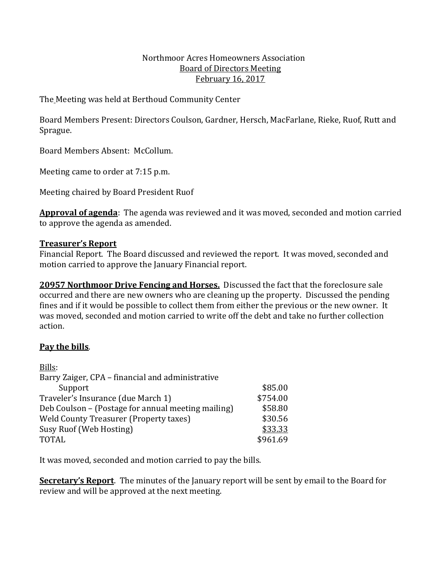#### Northmoor Acres Homeowners Association Board of Directors Meeting February 16, 2017

The Meeting was held at Berthoud Community Center

Board Members Present: Directors Coulson, Gardner, Hersch, MacFarlane, Rieke, Ruof, Rutt and Sprague.

Board Members Absent: McCollum.

Meeting came to order at 7:15 p.m.

Meeting chaired by Board President Ruof

**Approval of agenda**: The agenda was reviewed and it was moved, seconded and motion carried to approve the agenda as amended.

## **Treasurer's Report**

Financial Report. The Board discussed and reviewed the report. It was moved, seconded and motion carried to approve the January Financial report.

**20957 Northmoor Drive Fencing and Horses.** Discussed the fact that the foreclosure sale occurred and there are new owners who are cleaning up the property. Discussed the pending fines and if it would be possible to collect them from either the previous or the new owner. It was moved, seconded and motion carried to write off the debt and take no further collection action.

# **Pay the bills**.

| Bills:                                             |          |
|----------------------------------------------------|----------|
| Barry Zaiger, CPA – financial and administrative   |          |
| Support                                            | \$85.00  |
| Traveler's Insurance (due March 1)                 | \$754.00 |
| Deb Coulson - (Postage for annual meeting mailing) | \$58.80  |
| <b>Weld County Treasurer (Property taxes)</b>      | \$30.56  |
| Susy Ruof (Web Hosting)                            | \$33.33  |
| <b>TOTAL</b>                                       | \$961.69 |

It was moved, seconded and motion carried to pay the bills.

**Secretary's Report**. The minutes of the January report will be sent by email to the Board for review and will be approved at the next meeting.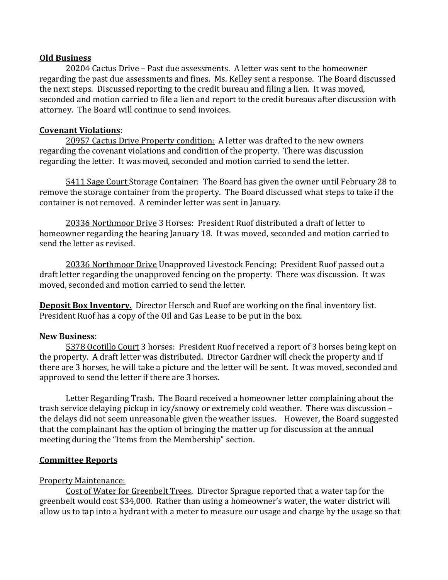### **Old Business**

20204 Cactus Drive – Past due assessments. A letter was sent to the homeowner regarding the past due assessments and fines. Ms. Kelley sent a response. The Board discussed the next steps. Discussed reporting to the credit bureau and filing a lien. It was moved, seconded and motion carried to file a lien and report to the credit bureaus after discussion with attorney. The Board will continue to send invoices.

### **Covenant Violations**:

20957 Cactus Drive Property condition: A letter was drafted to the new owners regarding the covenant violations and condition of the property. There was discussion regarding the letter. It was moved, seconded and motion carried to send the letter.

5411 Sage Court Storage Container: The Board has given the owner until February 28 to remove the storage container from the property. The Board discussed what steps to take if the container is not removed. A reminder letter was sent in January.

20336 Northmoor Drive 3 Horses: President Ruof distributed a draft of letter to homeowner regarding the hearing January 18. It was moved, seconded and motion carried to send the letter as revised.

20336 Northmoor Drive Unapproved Livestock Fencing: President Ruof passed out a draft letter regarding the unapproved fencing on the property. There was discussion. It was moved, seconded and motion carried to send the letter.

**Deposit Box Inventory.** Director Hersch and Ruof are working on the final inventory list. President Ruof has a copy of the Oil and Gas Lease to be put in the box.

## **New Business**:

5378 Ocotillo Court 3 horses: President Ruof received a report of 3 horses being kept on the property. A draft letter was distributed. Director Gardner will check the property and if there are 3 horses, he will take a picture and the letter will be sent. It was moved, seconded and approved to send the letter if there are 3 horses.

Letter Regarding Trash. The Board received a homeowner letter complaining about the trash service delaying pickup in icy/snowy or extremely cold weather. There was discussion – the delays did not seem unreasonable given the weather issues. However, the Board suggested that the complainant has the option of bringing the matter up for discussion at the annual meeting during the "Items from the Membership" section.

## **Committee Reports**

## Property Maintenance:

Cost of Water for Greenbelt Trees. Director Sprague reported that a water tap for the greenbelt would cost \$34,000. Rather than using a homeowner's water, the water district will allow us to tap into a hydrant with a meter to measure our usage and charge by the usage so that